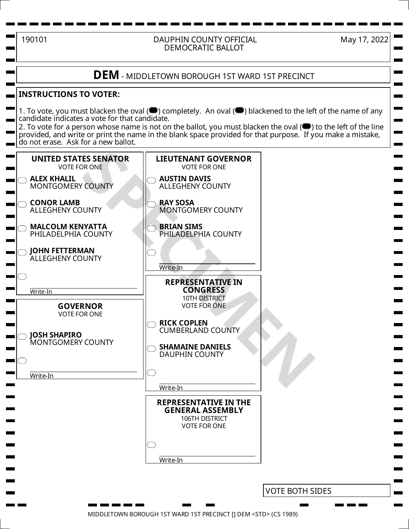## 190101 DAUPHIN COUNTY OFFICIAL DEMOCRATIC BALLOT

May 17, 2022

## **DEM** - MIDDLETOWN BOROUGH 1ST WARD 1ST PRECINCT

## **INSTRUCTIONS TO VOTER:**

1. To vote, you must blacken the oval ( $\blacksquare$ ) completely. An oval ( $\blacksquare$ ) blackened to the left of the name of any candidate indicates a vote for that candidate.

2. To vote for a person whose name is not on the ballot, you must blacken the oval ( $\blacksquare$ ) to the left of the line provided, and write or print the name in the blank space provided for that purpose. If you make a mistake, do not erase. Ask for a new ballot.



VOTE BOTH SIDES